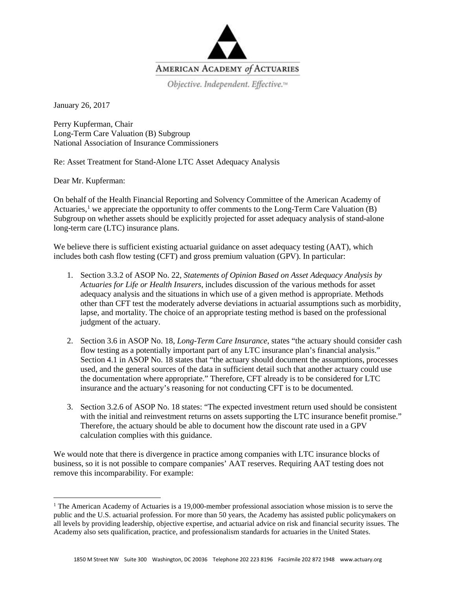

Objective. Independent. Effective.™

January 26, 2017

Perry Kupferman, Chair Long-Term Care Valuation (B) Subgroup National Association of Insurance Commissioners

Re: Asset Treatment for Stand-Alone LTC Asset Adequacy Analysis

Dear Mr. Kupferman:

On behalf of the Health Financial Reporting and Solvency Committee of the American Academy of Actuaries,<sup>[1](#page-0-0)</sup> we appreciate the opportunity to offer comments to the Long-Term Care Valuation (B) Subgroup on whether assets should be explicitly projected for asset adequacy analysis of stand-alone long-term care (LTC) insurance plans.

We believe there is sufficient existing actuarial guidance on asset adequacy testing (AAT), which includes both cash flow testing (CFT) and gross premium valuation (GPV). In particular:

- 1. Section 3.3.2 of ASOP No. 22, *Statements of Opinion Based on Asset Adequacy Analysis by Actuaries for Life or Health Insurers*, includes discussion of the various methods for asset adequacy analysis and the situations in which use of a given method is appropriate. Methods other than CFT test the moderately adverse deviations in actuarial assumptions such as morbidity, lapse, and mortality. The choice of an appropriate testing method is based on the professional judgment of the actuary.
- 2. Section 3.6 in ASOP No. 18, *Long-Term Care Insurance*, states "the actuary should consider cash flow testing as a potentially important part of any LTC insurance plan's financial analysis." Section 4.1 in ASOP No. 18 states that "the actuary should document the assumptions, processes used, and the general sources of the data in sufficient detail such that another actuary could use the documentation where appropriate." Therefore, CFT already is to be considered for LTC insurance and the actuary's reasoning for not conducting CFT is to be documented.
- 3. Section 3.2.6 of ASOP No. 18 states: "The expected investment return used should be consistent with the initial and reinvestment returns on assets supporting the LTC insurance benefit promise." Therefore, the actuary should be able to document how the discount rate used in a GPV calculation complies with this guidance.

We would note that there is divergence in practice among companies with LTC insurance blocks of business, so it is not possible to compare companies' AAT reserves. Requiring AAT testing does not remove this incomparability. For example:

<span id="page-0-0"></span><sup>&</sup>lt;sup>1</sup> The American Academy of Actuaries is a 19,000-member professional association whose mission is to serve the public and the U.S. actuarial profession. For more than 50 years, the Academy has assisted public policymakers on all levels by providing leadership, objective expertise, and actuarial advice on risk and financial security issues. The Academy also sets qualification, practice, and professionalism standards for actuaries in the United States.